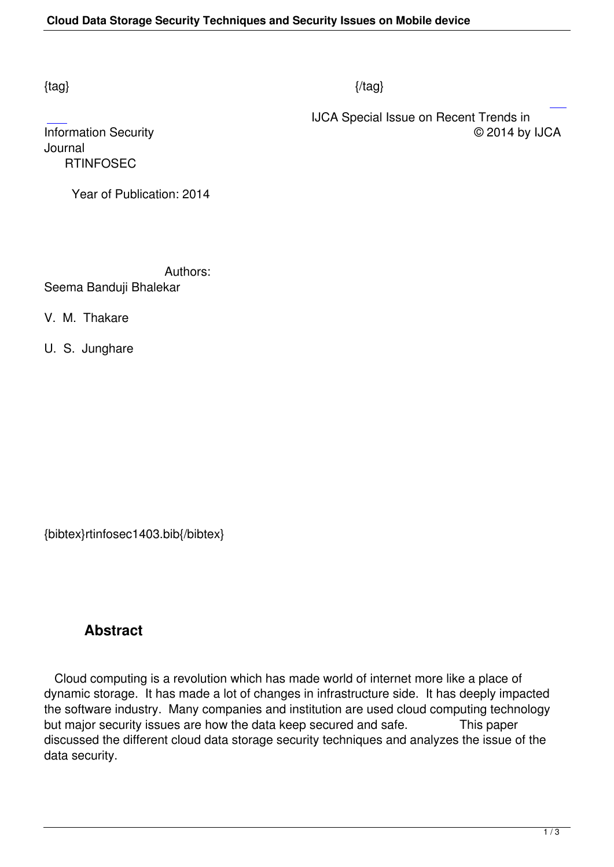### $\{tag\}$

IJCA Special Issue on Recent Trends in

Information Security Journal  [R](http://research.ijcaonline.org/rtinfosec/number1/rtinfosec1403.pdf)TINFOSEC

Year of Publication: 2014

 Authors: Seema Banduji Bhalekar

V. M. Thakare

U. S. Junghare

{bibtex}rtinfosec1403.bib{/bibtex}

## **Abstract**

 Cloud computing is a revolution which has made world of internet more like a place of dynamic storage. It has made a lot of changes in infrastructure side. It has deeply impacted the software industry. Many companies and institution are used cloud computing technology but major security issues are how the data keep secured and safe. This paper discussed the different cloud data storage security techniques and analyzes the issue of the data security.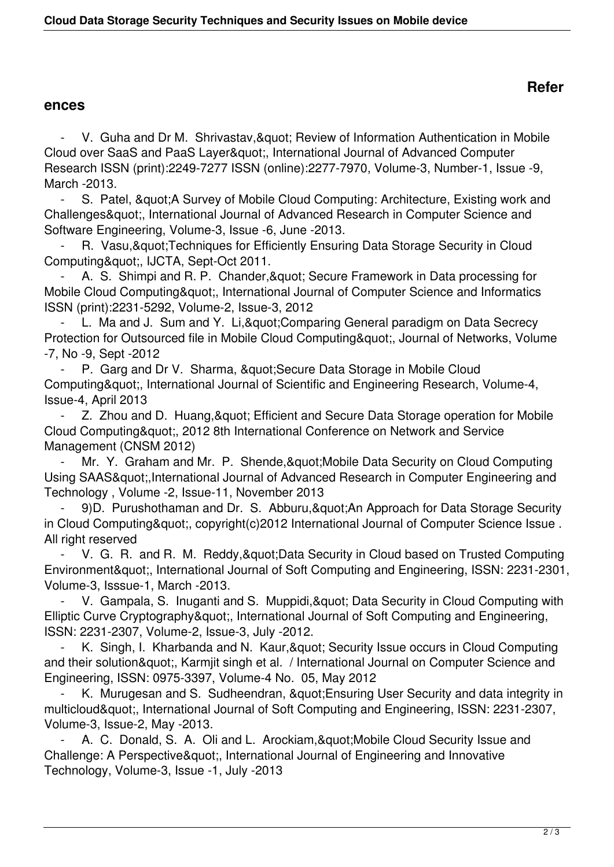#### **ences**

V. Guha and Dr M. Shrivastav, & quot; Review of Information Authentication in Mobile Cloud over SaaS and PaaS Layer", International Journal of Advanced Computer Research ISSN (print):2249-7277 ISSN (online):2277-7970, Volume-3, Number-1, Issue -9, March -2013.

- S. Patel, & quot; A Survey of Mobile Cloud Computing: Architecture, Existing work and Challenges", International Journal of Advanced Research in Computer Science and Software Engineering, Volume-3, Issue -6, June -2013.

R. Vasu, & quot; Techniques for Efficiently Ensuring Data Storage Security in Cloud Computing", IJCTA, Sept-Oct 2011.

A. S. Shimpi and R. P. Chander, & quot; Secure Framework in Data processing for Mobile Cloud Computing", International Journal of Computer Science and Informatics ISSN (print):2231-5292, Volume-2, Issue-3, 2012

L. Ma and J. Sum and Y. Li, & quot; Comparing General paradigm on Data Secrecy Protection for Outsourced file in Mobile Cloud Computing", Journal of Networks, Volume -7, No -9, Sept -2012

P. Garg and Dr V. Sharma, & quot; Secure Data Storage in Mobile Cloud Computing", International Journal of Scientific and Engineering Research, Volume-4, Issue-4, April 2013

Z. Zhou and D. Huang, & quot; Efficient and Secure Data Storage operation for Mobile Cloud Computing", 2012 8th International Conference on Network and Service Management (CNSM 2012)

Mr. Y. Graham and Mr. P. Shende, & quot; Mobile Data Security on Cloud Computing Using SAAS", International Journal of Advanced Research in Computer Engineering and Technology , Volume -2, Issue-11, November 2013

9)D. Purushothaman and Dr. S. Abburu, & quot; An Approach for Data Storage Security in Cloud Computing&quot:, copyright(c)2012 International Journal of Computer Science Issue. All right reserved

V. G. R. and R. M. Reddy, & quot; Data Security in Cloud based on Trusted Computing Environment&quot:, International Journal of Soft Computing and Engineering, ISSN: 2231-2301, Volume-3, Isssue-1, March -2013.

V. Gampala, S. Inuganti and S. Muppidi, & quot; Data Security in Cloud Computing with Elliptic Curve Cryptography", International Journal of Soft Computing and Engineering, ISSN: 2231-2307, Volume-2, Issue-3, July -2012.

K. Singh, I. Kharbanda and N. Kaur, & auot: Security Issue occurs in Cloud Computing and their solution", Karmjit singh et al. / International Journal on Computer Science and Engineering, ISSN: 0975-3397, Volume-4 No. 05, May 2012

K. Murugesan and S. Sudheendran, & quot; Ensuring User Security and data integrity in multicloud", International Journal of Soft Computing and Engineering, ISSN: 2231-2307, Volume-3, Issue-2, May -2013.

A. C. Donald, S. A. Oli and L. Arockiam, & quot; Mobile Cloud Security Issue and Challenge: A Perspective", International Journal of Engineering and Innovative Technology, Volume-3, Issue -1, July -2013

## **Refer**